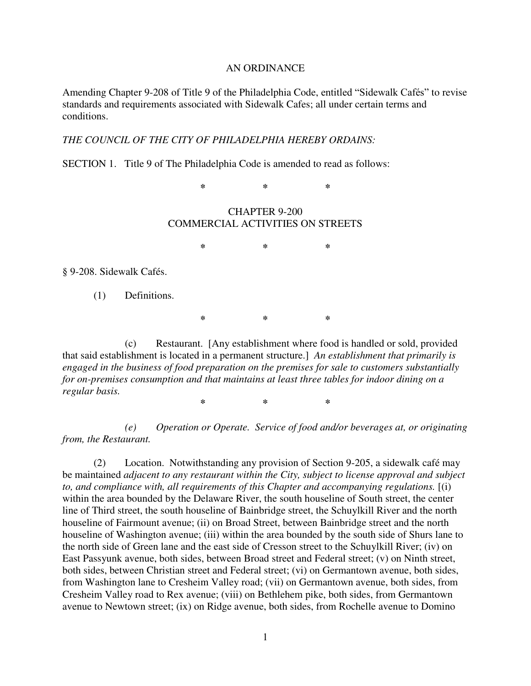## AN ORDINANCE

Amending Chapter 9-208 of Title 9 of the Philadelphia Code, entitled "Sidewalk Cafés" to revise standards and requirements associated with Sidewalk Cafes; all under certain terms and conditions.

## *THE COUNCIL OF THE CITY OF PHILADELPHIA HEREBY ORDAINS:*

SECTION 1. Title 9 of The Philadelphia Code is amended to read as follows:

**\* \* \*** 

## CHAPTER 9-200 COMMERCIAL ACTIVITIES ON STREETS

**\* \* \***

§ 9-208. Sidewalk Cafés.

(1) Definitions.

**\* \* \*** 

(c) Restaurant. [Any establishment where food is handled or sold, provided that said establishment is located in a permanent structure.] *An establishment that primarily is engaged in the business of food preparation on the premises for sale to customers substantially for on-premises consumption and that maintains at least three tables for indoor dining on a regular basis.* 

**\* \* \*** 

 *(e) Operation or Operate. Service of food and/or beverages at, or originating from, the Restaurant.* 

(2) Location. Notwithstanding any provision of Section 9-205, a sidewalk café may be maintained *adjacent to any restaurant within the City, subject to license approval and subject to, and compliance with, all requirements of this Chapter and accompanying regulations.* [(i) within the area bounded by the Delaware River, the south houseline of South street, the center line of Third street, the south houseline of Bainbridge street, the Schuylkill River and the north houseline of Fairmount avenue; (ii) on Broad Street, between Bainbridge street and the north houseline of Washington avenue; (iii) within the area bounded by the south side of Shurs lane to the north side of Green lane and the east side of Cresson street to the Schuylkill River; (iv) on East Passyunk avenue, both sides, between Broad street and Federal street; (v) on Ninth street, both sides, between Christian street and Federal street; (vi) on Germantown avenue, both sides, from Washington lane to Cresheim Valley road; (vii) on Germantown avenue, both sides, from Cresheim Valley road to Rex avenue; (viii) on Bethlehem pike, both sides, from Germantown avenue to Newtown street; (ix) on Ridge avenue, both sides, from Rochelle avenue to Domino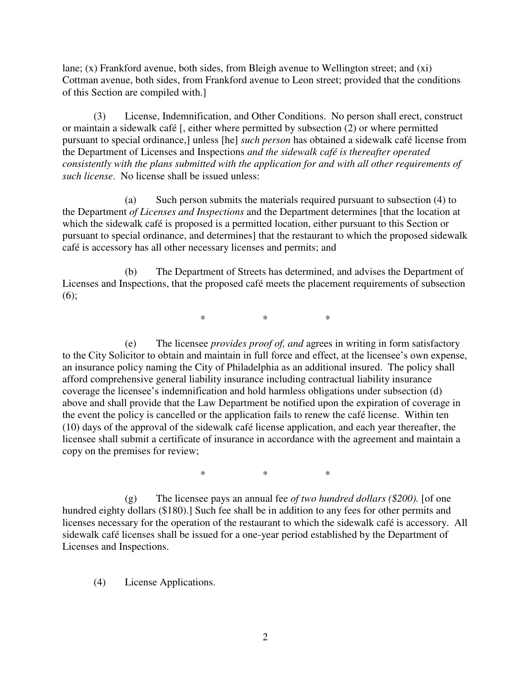lane; (x) Frankford avenue, both sides, from Bleigh avenue to Wellington street; and (xi) Cottman avenue, both sides, from Frankford avenue to Leon street; provided that the conditions of this Section are compiled with.]

(3) License, Indemnification, and Other Conditions. No person shall erect, construct or maintain a sidewalk café [, either where permitted by subsection (2) or where permitted pursuant to special ordinance,] unless [he] *such person* has obtained a sidewalk café license from the Department of Licenses and Inspections *and the sidewalk café is thereafter operated consistently with the plans submitted with the application for and with all other requirements of such license*. No license shall be issued unless:

 (a) Such person submits the materials required pursuant to subsection (4) to the Department *of Licenses and Inspections* and the Department determines [that the location at which the sidewalk café is proposed is a permitted location, either pursuant to this Section or pursuant to special ordinance, and determines] that the restaurant to which the proposed sidewalk café is accessory has all other necessary licenses and permits; and

 (b) The Department of Streets has determined, and advises the Department of Licenses and Inspections, that the proposed café meets the placement requirements of subsection (6);

 $*$  \* \* \*

 (e) The licensee *provides proof of, and* agrees in writing in form satisfactory to the City Solicitor to obtain and maintain in full force and effect, at the licensee's own expense, an insurance policy naming the City of Philadelphia as an additional insured. The policy shall afford comprehensive general liability insurance including contractual liability insurance coverage the licensee's indemnification and hold harmless obligations under subsection (d) above and shall provide that the Law Department be notified upon the expiration of coverage in the event the policy is cancelled or the application fails to renew the café license. Within ten (10) days of the approval of the sidewalk café license application, and each year thereafter, the licensee shall submit a certificate of insurance in accordance with the agreement and maintain a copy on the premises for review;

 $*$  \* \* \*

 (g) The licensee pays an annual fee *of two hundred dollars (\$200).* [of one hundred eighty dollars (\$180).] Such fee shall be in addition to any fees for other permits and licenses necessary for the operation of the restaurant to which the sidewalk café is accessory. All sidewalk café licenses shall be issued for a one-year period established by the Department of Licenses and Inspections.

(4) License Applications.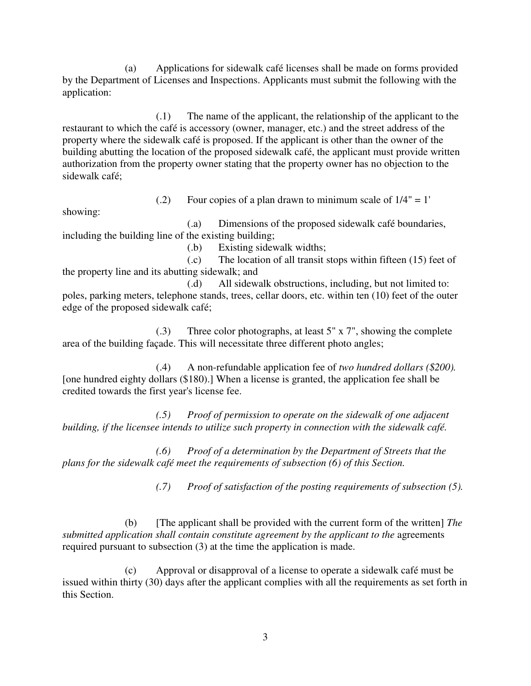(a) Applications for sidewalk café licenses shall be made on forms provided by the Department of Licenses and Inspections. Applicants must submit the following with the application:

 (.1) The name of the applicant, the relationship of the applicant to the restaurant to which the café is accessory (owner, manager, etc.) and the street address of the property where the sidewalk café is proposed. If the applicant is other than the owner of the building abutting the location of the proposed sidewalk café, the applicant must provide written authorization from the property owner stating that the property owner has no objection to the sidewalk café;

 $(0.2)$  Four copies of a plan drawn to minimum scale of  $1/4$ " = 1'

showing:

 (.a) Dimensions of the proposed sidewalk café boundaries, including the building line of the existing building;

(.b) Existing sidewalk widths;

 (.c) The location of all transit stops within fifteen (15) feet of the property line and its abutting sidewalk; and

 (.d) All sidewalk obstructions, including, but not limited to: poles, parking meters, telephone stands, trees, cellar doors, etc. within ten (10) feet of the outer edge of the proposed sidewalk café;

 (.3) Three color photographs, at least 5" x 7", showing the complete area of the building façade. This will necessitate three different photo angles;

 (.4) A non-refundable application fee of *two hundred dollars (\$200).*  [one hundred eighty dollars (\$180).] When a license is granted, the application fee shall be credited towards the first year's license fee.

 *(.5) Proof of permission to operate on the sidewalk of one adjacent building, if the licensee intends to utilize such property in connection with the sidewalk café.* 

 *(.6) Proof of a determination by the Department of Streets that the plans for the sidewalk café meet the requirements of subsection (6) of this Section.* 

 *(.7) Proof of satisfaction of the posting requirements of subsection (5).* 

 (b) [The applicant shall be provided with the current form of the written] *The submitted application shall contain constitute agreement by the applicant to the agreements* required pursuant to subsection (3) at the time the application is made.

 (c) Approval or disapproval of a license to operate a sidewalk café must be issued within thirty (30) days after the applicant complies with all the requirements as set forth in this Section.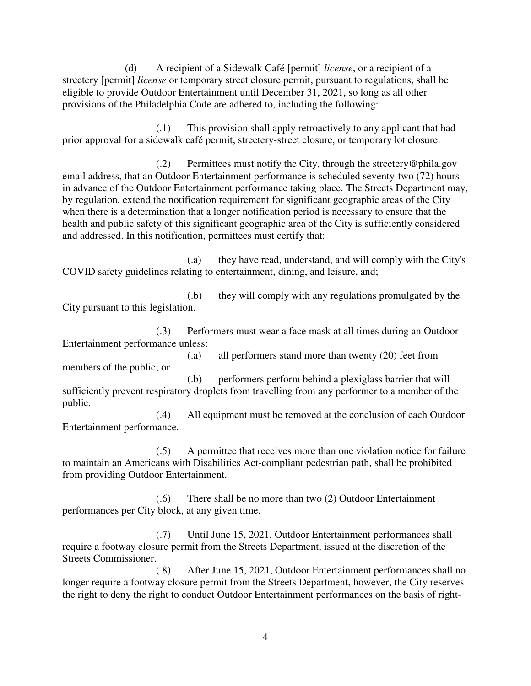(d) A recipient of a Sidewalk Café [permit] *license*, or a recipient of a streetery [permit] *license* or temporary street closure permit, pursuant to regulations, shall be eligible to provide Outdoor Entertainment until December 31, 2021, so long as all other provisions of the Philadelphia Code are adhered to, including the following:

 (.1) This provision shall apply retroactively to any applicant that had prior approval for a sidewalk café permit, streetery-street closure, or temporary lot closure.

 $(0.2)$  Permittees must notify the City, through the streetery @phila.gov email address, that an Outdoor Entertainment performance is scheduled seventy-two (72) hours in advance of the Outdoor Entertainment performance taking place. The Streets Department may, by regulation, extend the notification requirement for significant geographic areas of the City when there is a determination that a longer notification period is necessary to ensure that the health and public safety of this significant geographic area of the City is sufficiently considered and addressed. In this notification, permittees must certify that:

 (.a) they have read, understand, and will comply with the City's COVID safety guidelines relating to entertainment, dining, and leisure, and;

 (.b) they will comply with any regulations promulgated by the City pursuant to this legislation.

 (.3) Performers must wear a face mask at all times during an Outdoor Entertainment performance unless:

 (.a) all performers stand more than twenty (20) feet from members of the public; or

 (.b) performers perform behind a plexiglass barrier that will sufficiently prevent respiratory droplets from travelling from any performer to a member of the public.

 (.4) All equipment must be removed at the conclusion of each Outdoor Entertainment performance.

 (.5) A permittee that receives more than one violation notice for failure to maintain an Americans with Disabilities Act-compliant pedestrian path, shall be prohibited from providing Outdoor Entertainment.

 (.6) There shall be no more than two (2) Outdoor Entertainment performances per City block, at any given time.

 (.7) Until June 15, 2021, Outdoor Entertainment performances shall require a footway closure permit from the Streets Department, issued at the discretion of the Streets Commissioner.

 (.8) After June 15, 2021, Outdoor Entertainment performances shall no longer require a footway closure permit from the Streets Department, however, the City reserves the right to deny the right to conduct Outdoor Entertainment performances on the basis of right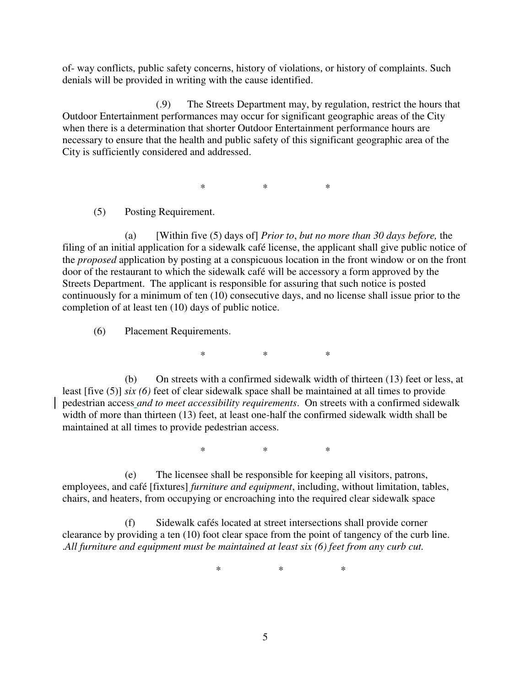of- way conflicts, public safety concerns, history of violations, or history of complaints. Such denials will be provided in writing with the cause identified.

 (.9) The Streets Department may, by regulation, restrict the hours that Outdoor Entertainment performances may occur for significant geographic areas of the City when there is a determination that shorter Outdoor Entertainment performance hours are necessary to ensure that the health and public safety of this significant geographic area of the City is sufficiently considered and addressed.

 $*$  \* \* \*

(5) Posting Requirement.

 (a) [Within five (5) days of] *Prior to*, *but no more than 30 days before,* the filing of an initial application for a sidewalk café license, the applicant shall give public notice of the *proposed* application by posting at a conspicuous location in the front window or on the front door of the restaurant to which the sidewalk café will be accessory a form approved by the Streets Department. The applicant is responsible for assuring that such notice is posted continuously for a minimum of ten (10) consecutive days, and no license shall issue prior to the completion of at least ten (10) days of public notice.

(6) Placement Requirements.

 $*$  \* \* \*

 (b) On streets with a confirmed sidewalk width of thirteen (13) feet or less, at least [five (5)] *six (6)* feet of clear sidewalk space shall be maintained at all times to provide pedestrian access *and to meet accessibility requirements*. On streets with a confirmed sidewalk width of more than thirteen (13) feet, at least one-half the confirmed sidewalk width shall be maintained at all times to provide pedestrian access.

 $*$  \* \* \*

 (e) The licensee shall be responsible for keeping all visitors, patrons, employees, and café [fixtures] *furniture and equipment*, including, without limitation, tables, chairs, and heaters, from occupying or encroaching into the required clear sidewalk space

 (f) Sidewalk cafés located at street intersections shall provide corner clearance by providing a ten (10) foot clear space from the point of tangency of the curb line. .*All furniture and equipment must be maintained at least six (6) feet from any curb cut.* 

 $*$  \* \* \* \*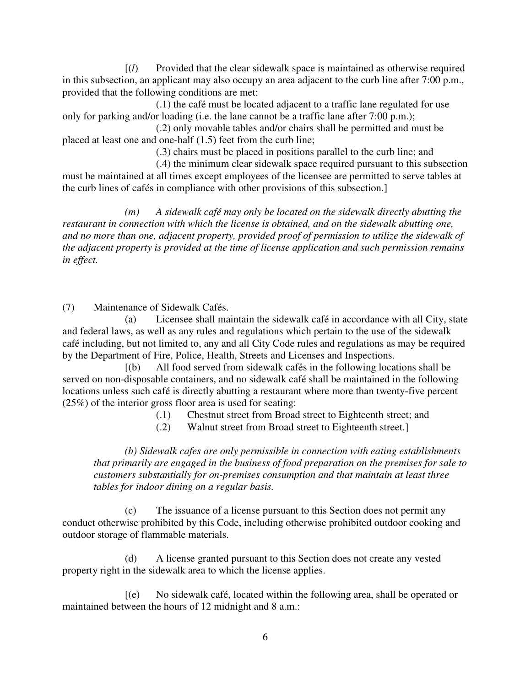[(*l*) Provided that the clear sidewalk space is maintained as otherwise required in this subsection, an applicant may also occupy an area adjacent to the curb line after 7:00 p.m., provided that the following conditions are met:

 (.1) the café must be located adjacent to a traffic lane regulated for use only for parking and/or loading (i.e. the lane cannot be a traffic lane after 7:00 p.m.);

 (.2) only movable tables and/or chairs shall be permitted and must be placed at least one and one-half (1.5) feet from the curb line;

(.3) chairs must be placed in positions parallel to the curb line; and

 (.4) the minimum clear sidewalk space required pursuant to this subsection must be maintained at all times except employees of the licensee are permitted to serve tables at the curb lines of cafés in compliance with other provisions of this subsection.]

 *(m) A sidewalk café may only be located on the sidewalk directly abutting the restaurant in connection with which the license is obtained, and on the sidewalk abutting one, and no more than one, adjacent property, provided proof of permission to utilize the sidewalk of the adjacent property is provided at the time of license application and such permission remains in effect.* 

(7) Maintenance of Sidewalk Cafés.

 (a) Licensee shall maintain the sidewalk café in accordance with all City, state and federal laws, as well as any rules and regulations which pertain to the use of the sidewalk café including, but not limited to, any and all City Code rules and regulations as may be required by the Department of Fire, Police, Health, Streets and Licenses and Inspections.

 [(b) All food served from sidewalk cafés in the following locations shall be served on non-disposable containers, and no sidewalk café shall be maintained in the following locations unless such café is directly abutting a restaurant where more than twenty-five percent (25%) of the interior gross floor area is used for seating:

- (.1) Chestnut street from Broad street to Eighteenth street; and
- (.2) Walnut street from Broad street to Eighteenth street.]

*(b) Sidewalk cafes are only permissible in connection with eating establishments that primarily are engaged in the business of food preparation on the premises for sale to customers substantially for on-premises consumption and that maintain at least three tables for indoor dining on a regular basis.* 

 (c) The issuance of a license pursuant to this Section does not permit any conduct otherwise prohibited by this Code, including otherwise prohibited outdoor cooking and outdoor storage of flammable materials.

 (d) A license granted pursuant to this Section does not create any vested property right in the sidewalk area to which the license applies.

 [(e) No sidewalk café, located within the following area, shall be operated or maintained between the hours of 12 midnight and 8 a.m.: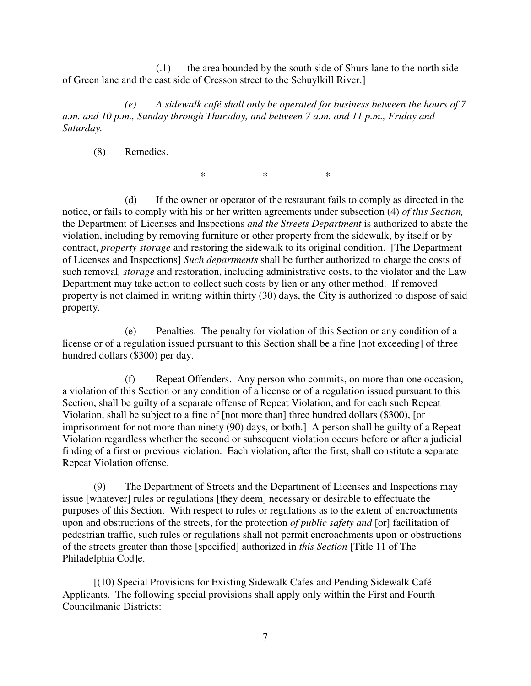(.1) the area bounded by the south side of Shurs lane to the north side of Green lane and the east side of Cresson street to the Schuylkill River.]

 *(e) A sidewalk café shall only be operated for business between the hours of 7 a.m. and 10 p.m., Sunday through Thursday, and between 7 a.m. and 11 p.m., Friday and Saturday.* 

(8) Remedies.

 $*$  \* \* \*

 (d) If the owner or operator of the restaurant fails to comply as directed in the notice, or fails to comply with his or her written agreements under subsection (4) *of this Section,*  the Department of Licenses and Inspections *and the Streets Department* is authorized to abate the violation, including by removing furniture or other property from the sidewalk, by itself or by contract, *property storage* and restoring the sidewalk to its original condition. [The Department of Licenses and Inspections] *Such departments* shall be further authorized to charge the costs of such removal*, storage* and restoration, including administrative costs, to the violator and the Law Department may take action to collect such costs by lien or any other method. If removed property is not claimed in writing within thirty (30) days, the City is authorized to dispose of said property.

 (e) Penalties. The penalty for violation of this Section or any condition of a license or of a regulation issued pursuant to this Section shall be a fine [not exceeding] of three hundred dollars (\$300) per day.

 (f) Repeat Offenders. Any person who commits, on more than one occasion, a violation of this Section or any condition of a license or of a regulation issued pursuant to this Section, shall be guilty of a separate offense of Repeat Violation, and for each such Repeat Violation, shall be subject to a fine of [not more than] three hundred dollars (\$300), [or imprisonment for not more than ninety (90) days, or both.] A person shall be guilty of a Repeat Violation regardless whether the second or subsequent violation occurs before or after a judicial finding of a first or previous violation. Each violation, after the first, shall constitute a separate Repeat Violation offense.

 (9) The Department of Streets and the Department of Licenses and Inspections may issue [whatever] rules or regulations [they deem] necessary or desirable to effectuate the purposes of this Section. With respect to rules or regulations as to the extent of encroachments upon and obstructions of the streets, for the protection *of public safety and* [or] facilitation of pedestrian traffic, such rules or regulations shall not permit encroachments upon or obstructions of the streets greater than those [specified] authorized in *this Section* [Title 11 of The Philadelphia Cod]e.

 [(10) Special Provisions for Existing Sidewalk Cafes and Pending Sidewalk Café Applicants. The following special provisions shall apply only within the First and Fourth Councilmanic Districts: